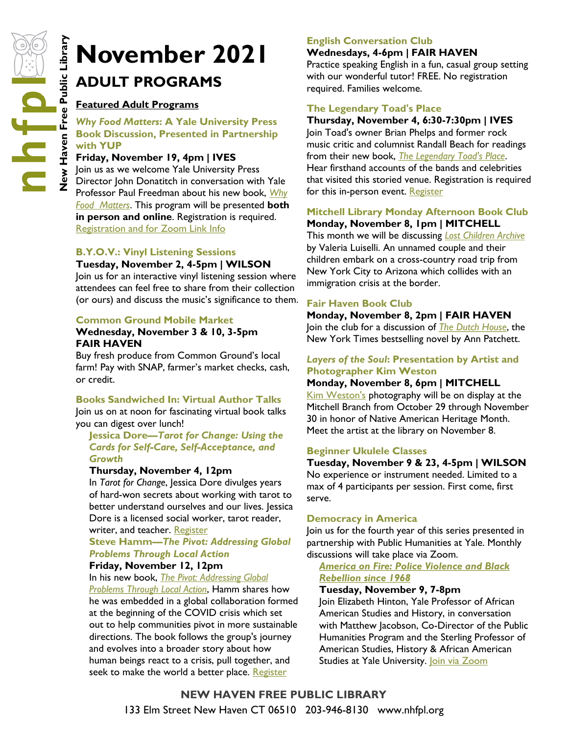# **November 2021**<br> **November 2021**<br> **November 2021**<br> **November 2021**<br> **November 2021**<br> **November 19, 4 and 19 University Press**<br> **November 19, 4pm | IVES**<br> **Explores 19, 4pm | IVES**<br> **Explores 19, 4pm | IVES**<br> **Explores 19, ADULT PROGRAMS**

# **Featured Adult Programs**

## *Why Food Matters***: A Yale University Press Book Discussion, Presented in Partnership with YUP**

## **Friday, November 19, 4pm | IVES**

Join us as we welcome Yale University Press Director John Donatitch in conversation with Yale Professor Paul Freedman about his new book, *[Why](http://nhave-encore.iii.com/iii/encore/record/C__Rb1628515__Swhy%20food%20matters__Orightresult__U__X6;jsessionid=1DE741B76157D3F3D74AD7E25F590F2F?lang=eng&suite=cobalt)  [Food Matters](http://nhave-encore.iii.com/iii/encore/record/C__Rb1628515__Swhy%20food%20matters__Orightresult__U__X6;jsessionid=1DE741B76157D3F3D74AD7E25F590F2F?lang=eng&suite=cobalt)*. This program will be presented **both in person and online**. Registration is required. [Registration and for Zoom Link Info](https://nhfpl.libnet.info/event/5625847)

## **B.Y.O.V.: Vinyl Listening Sessions**

#### **Tuesday, November 2, 4-5pm | WILSON**

Join us for an interactive vinyl listening session where attendees can feel free to share from their collection (or ours) and discuss the music's significance to them.

#### **Common Ground Mobile Market**

# **Wednesday, November 3 & 10, 3-5pm FAIR HAVEN**

Buy fresh produce from Common Ground's local farm! Pay with SNAP, farmer's market checks, cash, or credit.

## **Books Sandwiched In: Virtual Author Talks**

Join us on at noon for fascinating virtual book talks you can digest over lunch!

## **Jessica Dore—***Tarot for Change: Using the Cards for Self-Care, Self-Acceptance, and Growth*

#### **Thursday, November 4, 12pm**

In *Tarot for Change*, Jessica Dore divulges years of hard-won secrets about working with tarot to better understand ourselves and our lives. Jessica Dore is a licensed social worker, tarot reader, writer, and teacher. [Register](https://nhfpl.libnet.info/event/5660406)

## **Steve Hamm—***The Pivot: Addressing Global Problems Through Local Action*

#### **Friday, November 12, 12pm**

In his new book, *[The Pivot: Addressing Global](http://nhave-encore.iii.com/iii/encore/record/C__Rb1628588__SThe%20Pivot%3A%20Addressing%20Global%20%20Problems%20Through%20Local%20Action__Orightresult__U__X4?lang=eng&suite=cobalt)  [Problems Through Local Action](http://nhave-encore.iii.com/iii/encore/record/C__Rb1628588__SThe%20Pivot%3A%20Addressing%20Global%20%20Problems%20Through%20Local%20Action__Orightresult__U__X4?lang=eng&suite=cobalt)*, Hamm shares how he was embedded in a global collaboration formed at the beginning of the COVID crisis which set out to help communities pivot in more sustainable directions. The book follows the group's journey and evolves into a broader story about how human beings react to a crisis, pull together, and seek to make the world a better place. [Register](https://nhfpl.libnet.info/event/5636220)

## **English Conversation Club**

#### **Wednesdays, 4-6pm | FAIR HAVEN**

Practice speaking English in a fun, casual group setting with our wonderful tutor! FREE. No registration required. Families welcome.

## **The Legendary Toad's Place**

#### **Thursday, November 4, 6:30-7:30pm | IVES**

Join Toad's owner Brian Phelps and former rock music critic and columnist Randall Beach for readings from their new book, *[The Legendary Toad's Place](http://nhave-encore.iii.com/iii/encore/record/C__Rb1625650__SThe%20Legendary%20Toad%27s%20Place__Orightresult__U__X6?lang=eng&suite=cobalt)*. Hear firsthand accounts of the bands and celebrities that visited this storied venue. Registration is required for this in-person event. [Register](https://nhfpl.libnet.info/event/5611656)

## **Mitchell Library Monday Afternoon Book Club Monday, November 8, 1pm | MITCHELL**

This month we will be discussing *[Lost Children Archive](http://nhave-encore.iii.com/iii/encore/record/C__Rb1559760__SLost%20Children%20Archive__Orightresult__U__X6;jsessionid=144B9FD4C3557E7EB46AF0161BFA7118?lang=eng&suite=cobalt)* by Valeria Luiselli. An unnamed couple and their children embark on a cross-country road trip from New York City to Arizona which collides with an immigration crisis at the border.

## **Fair Haven Book Club**

**Monday, November 8, 2pm | FAIR HAVEN** Join the club for a discussion of *[The Dutch House](http://nhave-encore.iii.com/iii/encore/search/C__Sthe%20dutch%20house__Orightresult__U?lang=eng&suite=cobalt)*, the New York Times bestselling novel by Ann Patchett.

## *Layers of the Soul***: Presentation by Artist and Photographer Kim Weston**

#### **Monday, November 8, 6pm | MITCHELL**

[Kim Weston's](http://www.kimwestonimages.com/index.html) photography will be on display at the Mitchell Branch from October 29 through November 30 in honor of Native American Heritage Month. Meet the artist at the library on November 8.

#### **Beginner Ukulele Classes**

## **Tuesday, November 9 & 23, 4-5pm | WILSON**

No experience or instrument needed. Limited to a max of 4 participants per session. First come, first serve.

#### **Democracy in America**

Join us for the fourth year of this series presented in partnership with Public Humanities at Yale. Monthly discussions will take place via Zoom.

*[America on Fire: Police Violence and Black](http://nhave-encore.iii.com/iii/encore/record/C__Rb1617204__SAmerica%20on%20Fire__Orightresult__U__X6?lang=eng&suite=cobalt)  [Rebellion since 1968](http://nhave-encore.iii.com/iii/encore/record/C__Rb1617204__SAmerica%20on%20Fire__Orightresult__U__X6?lang=eng&suite=cobalt)*

#### **Tuesday, November 9, 7-8pm**

Join Elizabeth Hinton, Yale Professor of African American Studies and History, in conversation with Matthew Jacobson, Co-Director of the Public Humanities Program and the Sterling Professor of American Studies, History & African American Studies at Yale University. **Join via Zoom** 

**NEW HAVEN FREE PUBLIC LIBRARY**  133 Elm Street New Haven CT 06510 203-946-8130 www.nhfpl.org